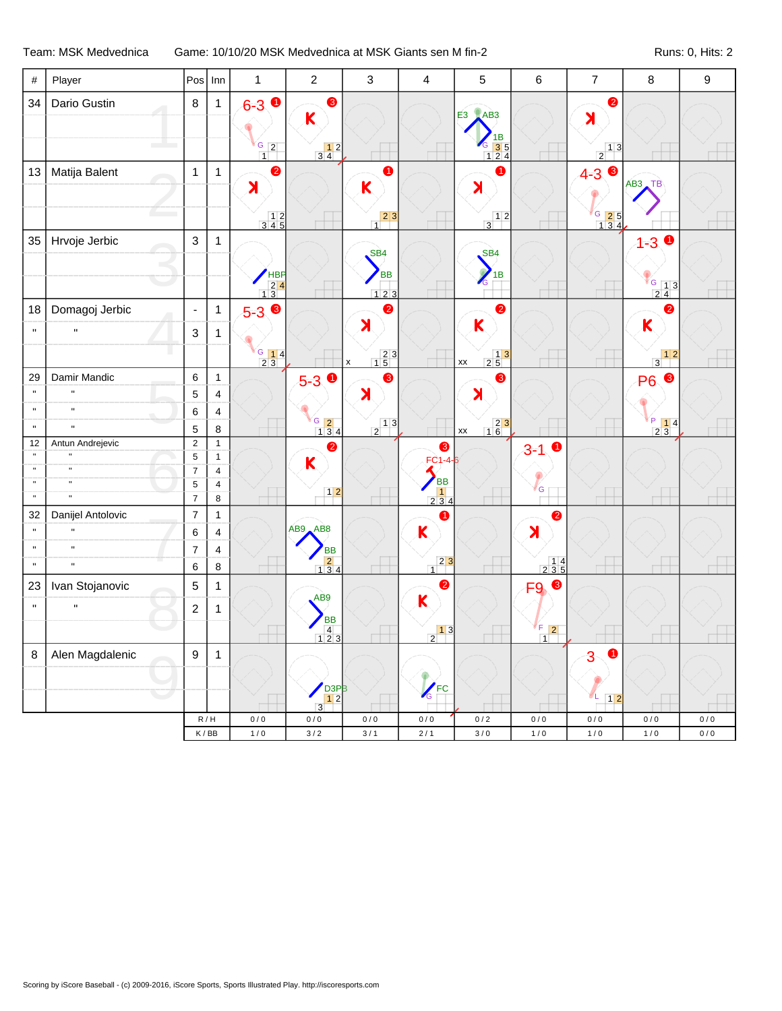Team: MSK Medvednica Game: 10/10/20 MSK Medvednica at MSK Giants sen M fin-2 Runs: 0, Hits: 2

| $\#$                         | Player                         | Pos                           | Inn                                | $\mathbf{1}$                             | $\overline{2}$                                                          | $\mathfrak{Z}$                                    | 4                                                 | 5                                                                                  | 6                                        | $\overline{7}$                                                                   | $\bf 8$                                                                            | 9     |
|------------------------------|--------------------------------|-------------------------------|------------------------------------|------------------------------------------|-------------------------------------------------------------------------|---------------------------------------------------|---------------------------------------------------|------------------------------------------------------------------------------------|------------------------------------------|----------------------------------------------------------------------------------|------------------------------------------------------------------------------------|-------|
| 34                           | Dario Gustin                   | 8                             | $\mathbf{1}$                       | $6 - 3$ 0                                | ❸                                                                       |                                                   |                                                   | <b>E3</b> AB3                                                                      |                                          | $\bullet$                                                                        |                                                                                    |       |
|                              |                                |                               |                                    |                                          | K                                                                       |                                                   |                                                   |                                                                                    |                                          | $\blacktriangleright$                                                            |                                                                                    |       |
|                              |                                |                               |                                    | $\frac{G}{1}$ 2                          | $\begin{array}{c} 12 \\ 34 \end{array}$                                 |                                                   |                                                   | 1B<br>G<br>$\begin{array}{ c c }\n \hline\n 6 & 3 & 5 \\  1 & 2 & 4\n \end{array}$ |                                          | $\frac{1}{2}$ <sup>1</sup>                                                       |                                                                                    |       |
| 13                           | Matija Balent                  | $\mathbf{1}$                  | $\mathbf{1}$                       | $\bullet$                                |                                                                         | 0                                                 |                                                   | 0                                                                                  |                                          | ❸<br>$4 - 3$                                                                     |                                                                                    |       |
|                              |                                |                               |                                    | $\blacktriangleright$                    |                                                                         | K                                                 |                                                   | $\blacktriangleright$                                                              |                                          |                                                                                  | $AB3$ TB                                                                           |       |
|                              |                                |                               |                                    |                                          |                                                                         | $\begin{array}{c c} & 2 & 3 \\ 1 & & \end{array}$ |                                                   | $\begin{array}{c c} & 1 & 2 \end{array}$                                           |                                          |                                                                                  |                                                                                    |       |
|                              |                                |                               |                                    | $\begin{array}{c} 12 \\ 345 \end{array}$ |                                                                         |                                                   |                                                   |                                                                                    |                                          | $\begin{array}{ c c }\n \hline\n G & 2 & 5 \\  \hline\n 1 & 3 & 4\n \end{array}$ |                                                                                    |       |
| 35                           | Hrvoje Jerbic                  | $\mathsf 3$                   | $\mathbf{1}$                       |                                          |                                                                         | SB <sub>4</sub>                                   |                                                   | SB <sub>4</sub>                                                                    |                                          |                                                                                  | $\bullet$<br>$1 - 3$                                                               |       |
|                              |                                |                               |                                    |                                          |                                                                         | <b>BB</b>                                         |                                                   | $\mathcal{O}$<br>1B                                                                |                                          |                                                                                  |                                                                                    |       |
|                              |                                |                               |                                    | $\frac{18}{24}$                          |                                                                         | 123                                               |                                                   | G                                                                                  |                                          |                                                                                  | G 13<br>24                                                                         |       |
| 18                           | Domagoj Jerbic                 | $\blacksquare$                | $\mathbf 1$                        | $5-3$ $\odot$                            |                                                                         | 0                                                 |                                                   | 0                                                                                  |                                          |                                                                                  | ❷                                                                                  |       |
| $\mathbf{u}$                 | $\mathbf{H}$                   | $\ensuremath{\mathsf{3}}$     | 1                                  |                                          |                                                                         | X                                                 |                                                   | K                                                                                  |                                          |                                                                                  | K                                                                                  |       |
|                              |                                |                               |                                    | $\frac{6}{2}$ 14                         |                                                                         | $\begin{array}{r} 23 \\ 15 \end{array}$           |                                                   |                                                                                    |                                          |                                                                                  | $\begin{array}{c c} & 1 & 2 \\ \hline 3 & & \end{array}$                           |       |
| 29                           | Damir Mandic                   | 6                             | $\mathbf{1}$                       |                                          |                                                                         | $\pmb{\mathsf{x}}$<br>❸                           |                                                   | $\begin{array}{c c} & 1 & 3 \\ \hline 2 & 5 & \end{array}$<br>XX<br>❸              |                                          |                                                                                  | $\bullet$                                                                          |       |
| $\mathbf{u}$                 | $\mathbf{u}$                   | $\mathbf 5$                   | 4                                  |                                          | $5 - 3$ 0                                                               | $\blacktriangleright$                             |                                                   | $\blacktriangleright$                                                              |                                          |                                                                                  | <b>P6</b>                                                                          |       |
| $\mathbf{u}$                 | $\mathbf{u}$                   | $\,6\,$                       | 4                                  |                                          |                                                                         |                                                   |                                                   |                                                                                    |                                          |                                                                                  |                                                                                    |       |
| $\mathbf{u}$                 | $\mathbf{u}$                   | $\sqrt{5}$                    | 8                                  |                                          | $\frac{G}{1}$ $\frac{2}{3}$ 4                                           | $\frac{1}{2}$ <sup>1</sup>                        |                                                   | $\begin{array}{r} 23 \\ 16 \end{array}$<br>XX                                      |                                          |                                                                                  | $\begin{array}{ c c c }\n\hline\nP & 1 & 4 \\ \hline\n2 & 3 & \hline\n\end{array}$ |       |
| 12                           | Antun Andrejevic               | $\sqrt{2}$                    | $\mathbf{1}$                       |                                          | $\bullet$                                                               |                                                   | $\bullet$                                         |                                                                                    | $\bullet$<br>$3 - 1$                     |                                                                                  |                                                                                    |       |
| $\mathbf{u}$<br>$\mathbf{u}$ | $\blacksquare$<br>$\mathbf{u}$ | $\sqrt{5}$                    | $\mathbf{1}$                       |                                          | K                                                                       |                                                   | $FC1-4-6$                                         |                                                                                    |                                          |                                                                                  |                                                                                    |       |
| $\mathbf{u}$                 | $\mathbf{u}$                   | $\overline{7}$<br>$\,$ 5 $\,$ | $\overline{4}$<br>4                |                                          |                                                                         |                                                   | <b>BB</b>                                         |                                                                                    |                                          |                                                                                  |                                                                                    |       |
| $\mathbf{u}$                 | $\mathbf{u}$                   | $\overline{7}$                | 8                                  |                                          | $12$                                                                    |                                                   | $\begin{array}{c} 1 \\ 2 \ 3 \ 4 \end{array}$     |                                                                                    | 'G                                       |                                                                                  |                                                                                    |       |
| 32                           | Danijel Antolovic              | $\overline{7}$                | $\mathbf{1}$                       |                                          |                                                                         |                                                   | 0                                                 |                                                                                    | 2                                        |                                                                                  |                                                                                    |       |
| $\mathbf{u}$                 | H                              | $\,6\,$                       | 4                                  |                                          | AB9 AB8                                                                 |                                                   | K                                                 |                                                                                    | $\blacktriangleright$                    |                                                                                  |                                                                                    |       |
| $\mathbf{u}$                 | $\mathbf{u}$                   | $\boldsymbol{7}$              | 4                                  |                                          | <b>BB</b>                                                               |                                                   |                                                   |                                                                                    |                                          |                                                                                  |                                                                                    |       |
| $\mathbf{u}$                 | $\mathbf{u}$                   | $\,6\,$                       | 8                                  |                                          | $\begin{array}{ c c }\n\hline\n2 & 4 \\ \hline\n1 & 3 & 4\n\end{array}$ |                                                   | $2 \vert 3$<br>$\overline{1}$                     |                                                                                    | $\begin{array}{c} 14 \\ 235 \end{array}$ |                                                                                  |                                                                                    |       |
| 23                           | Ivan Stojanovic                | $\mathbf 5$                   | 1                                  |                                          |                                                                         |                                                   | $\bullet$                                         |                                                                                    | F9 <sup>®</sup>                          |                                                                                  |                                                                                    |       |
| $\mathbf{u}$                 | $\mathbf{u}$                   | $\boldsymbol{2}$              | 1                                  |                                          | AB9                                                                     |                                                   | K                                                 |                                                                                    |                                          |                                                                                  |                                                                                    |       |
|                              |                                |                               |                                    |                                          | <b>BB</b><br>$\begin{array}{c} 4 \\ 4 \\ 123 \end{array}$               |                                                   | $\begin{array}{c c} & 1 & 3 \\ 2 & & \end{array}$ |                                                                                    | F<br>$\vert$ 2                           |                                                                                  |                                                                                    |       |
|                              |                                |                               |                                    |                                          |                                                                         |                                                   |                                                   |                                                                                    | $\vert 1 \vert$                          |                                                                                  |                                                                                    |       |
| $\, 8$                       | Alen Magdalenic                | $\boldsymbol{9}$              | $\mathbf{1}$                       |                                          |                                                                         |                                                   |                                                   |                                                                                    |                                          | 0<br>3                                                                           |                                                                                    |       |
|                              |                                |                               |                                    |                                          | D <sub>3P</sub> B                                                       |                                                   |                                                   |                                                                                    |                                          |                                                                                  |                                                                                    |       |
|                              |                                |                               |                                    |                                          | 12<br>$\overline{3}$                                                    |                                                   | EC                                                |                                                                                    |                                          | ØΕ<br>$\boxed{1 2}$                                                              |                                                                                    |       |
|                              |                                |                               | R/H                                | 0/0                                      | $0/0$                                                                   | 0/0                                               | $0/0$                                             | $0/2$                                                                              | 0/0                                      | 0/0                                                                              | 0/0                                                                                | 0/0   |
|                              |                                |                               | $\mathsf K$ / $\mathsf B\mathsf B$ | $1/0$                                    | $3/2$                                                                   | $3/1$                                             | $2/1$                                             | $3\,/\,0$                                                                          | $1/0$                                    | $1/0$                                                                            | $1/0$                                                                              | $0/0$ |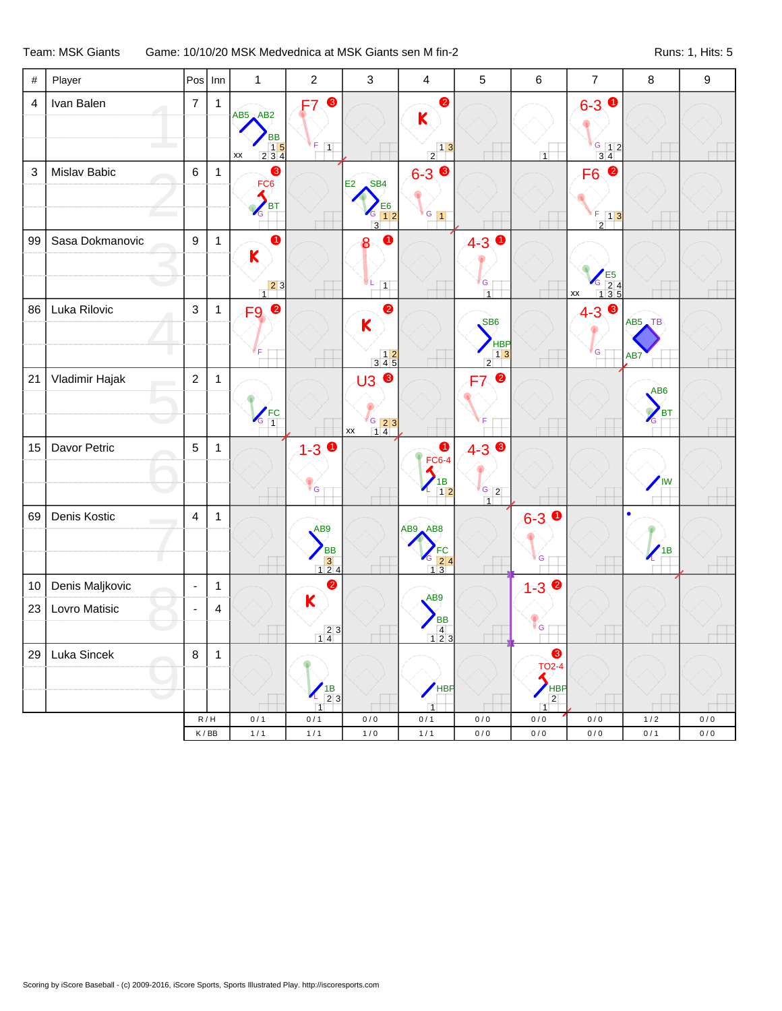## Team: MSK Giants Game: 10/10/20 MSK Medvednica at MSK Giants sen M fin-2 Runs: 1, Hits: 5

| $\#$                      | Player          | Pos              | Inn          | $\mathbf{1}$                                                                                                                                                                                                                                                                                                                                                                                                                                     | $\overline{2}$                                                                         | $\mathfrak{Z}$                                                                                                                                                                                                                                                                                                                                                                                                                   | $\overline{4}$                                                                                    | 5                                                               | 6                                                    | $\overline{7}$                                       | $\bf 8$                                | $\boldsymbol{9}$ |
|---------------------------|-----------------|------------------|--------------|--------------------------------------------------------------------------------------------------------------------------------------------------------------------------------------------------------------------------------------------------------------------------------------------------------------------------------------------------------------------------------------------------------------------------------------------------|----------------------------------------------------------------------------------------|----------------------------------------------------------------------------------------------------------------------------------------------------------------------------------------------------------------------------------------------------------------------------------------------------------------------------------------------------------------------------------------------------------------------------------|---------------------------------------------------------------------------------------------------|-----------------------------------------------------------------|------------------------------------------------------|------------------------------------------------------|----------------------------------------|------------------|
| 4                         | Ivan Balen      | $\boldsymbol{7}$ | $\mathbf{1}$ | $AB5$ $AB2$<br><b>BB</b><br>$\begin{array}{@{}c@{\hspace{1em}}c@{\hspace{1em}}c@{\hspace{1em}}c@{\hspace{1em}}c@{\hspace{1em}}c@{\hspace{1em}}c@{\hspace{1em}}c@{\hspace{1em}}c@{\hspace{1em}}c@{\hspace{1em}}c@{\hspace{1em}}c@{\hspace{1em}}c@{\hspace{1em}}c@{\hspace{1em}}c@{\hspace{1em}}c@{\hspace{1em}}c@{\hspace{1em}}c@{\hspace{1em}}c@{\hspace{1em}}c@{\hspace{1em}}c@{\hspace{1em}}c@{\hspace{1em}}c@{\hspace{1em}}c@{\hspace{$<br>XX | ❸<br>F7<br>F<br>$\boxed{1}$                                                            |                                                                                                                                                                                                                                                                                                                                                                                                                                  | $\bullet$<br>K<br>$\begin{array}{c c} & 1 & 3 \\ \hline 2 & & \end{array}$                        |                                                                 | $\overline{1}$                                       | $6-3$ 0<br>$\frac{6}{3}$ $\frac{1}{4}$ $\frac{2}{3}$ |                                        |                  |
| $\ensuremath{\mathsf{3}}$ | Mislav Babic    | $\,6\,$          | $\mathbf{1}$ | 6<br>FC <sub>6</sub><br>$\overline{\phantom{a}}$ BT<br>G                                                                                                                                                                                                                                                                                                                                                                                         |                                                                                        | SB4<br>E2<br>$\begin{array}{ c c }\n\hline\n1 & 2\n\end{array}$<br>G<br>3 <sup>7</sup>                                                                                                                                                                                                                                                                                                                                           | $6 - 3$<br>$G_{1}$                                                                                |                                                                 |                                                      | $\bullet$<br>F6<br>$\frac{F}{2}$ 13                  |                                        |                  |
| 99                        | Sasa Dokmanovic | $\boldsymbol{9}$ | $\mathbf{1}$ | $\bullet$<br>$\mathsf K$<br>$\begin{array}{c c} & 2 & 3 \\ 1 & & \end{array}$                                                                                                                                                                                                                                                                                                                                                                    |                                                                                        | 0<br>8<br>$\boxed{1}$                                                                                                                                                                                                                                                                                                                                                                                                            |                                                                                                   | $4 - 3$ 0<br>G<br>$\overline{1}$                                |                                                      | $rac{E5}{135}$<br>$\mathsf{X}\mathsf{X}$             |                                        |                  |
| 86                        | Luka Rilovic    | $\mathfrak{S}$   | $\mathbf{1}$ | F9 <sup>0</sup>                                                                                                                                                                                                                                                                                                                                                                                                                                  |                                                                                        | $\bullet$<br>K<br>$\begin{array}{@{}c@{\hspace{1em}}c@{\hspace{1em}}c@{\hspace{1em}}c@{\hspace{1em}}c@{\hspace{1em}}c@{\hspace{1em}}c@{\hspace{1em}}c@{\hspace{1em}}c@{\hspace{1em}}c@{\hspace{1em}}c@{\hspace{1em}}c@{\hspace{1em}}c@{\hspace{1em}}c@{\hspace{1em}}c@{\hspace{1em}}c@{\hspace{1em}}c@{\hspace{1em}}c@{\hspace{1em}}c@{\hspace{1em}}c@{\hspace{1em}}c@{\hspace{1em}}c@{\hspace{1em}}c@{\hspace{1em}}c@{\hspace{$ |                                                                                                   | SB <sub>6</sub><br><b>HBP</b><br>$\boxed{13}$<br>$\overline{2}$ |                                                      | $\bullet$<br>$4 - 3$<br>G                            | AB5 TB<br>AB7                          |                  |
| 21                        | Vladimir Hajak  | $\boldsymbol{2}$ | 1            | $\sqrt{\frac{FC}{1}}$                                                                                                                                                                                                                                                                                                                                                                                                                            |                                                                                        | $\bullet$<br>U3<br>$\begin{array}{ c c }\n \hline\n & 23 \\  \hline\n & 14\n \end{array}$<br>XX                                                                                                                                                                                                                                                                                                                                  |                                                                                                   | $\bullet$<br>F7                                                 |                                                      |                                                      | AB6<br>$\sum_{\text{BT}}$<br><b>VG</b> |                  |
| 15                        | Davor Petric    | $\sqrt{5}$       | 1            |                                                                                                                                                                                                                                                                                                                                                                                                                                                  | $1 - 3$ O<br>G                                                                         |                                                                                                                                                                                                                                                                                                                                                                                                                                  | $\bullet$<br>$FC6-4$<br>1<br>$\frac{1}{18}$                                                       | $4 - 3$<br>$\begin{array}{c c}\nG & 2 \\ 1 & 1\n\end{array}$    |                                                      |                                                      | <b>IW</b>                              |                  |
| 69                        | Denis Kostic    | $\overline{4}$   | 1            |                                                                                                                                                                                                                                                                                                                                                                                                                                                  | AB9<br>BB<br>3<br>124                                                                  |                                                                                                                                                                                                                                                                                                                                                                                                                                  | AB9 AB8<br>$\begin{array}{c} 7 \text{FC} \\ 2 \overline{)24} \\ 1 \overline{)3} \end{array}$<br>G |                                                                 | $6 - 3$ 0<br>G                                       |                                                      | $^{\prime}$ <sub>1</sub> B             |                  |
| 10                        | Denis Maljkovic | $\blacksquare$   | 1            |                                                                                                                                                                                                                                                                                                                                                                                                                                                  | $\bullet$                                                                              |                                                                                                                                                                                                                                                                                                                                                                                                                                  |                                                                                                   |                                                                 | $1 - 3$                                              |                                                      |                                        |                  |
| 23                        | Lovro Matisic   | $\blacksquare$   | 4            |                                                                                                                                                                                                                                                                                                                                                                                                                                                  | $\overline{\mathsf{K}}$<br>$\begin{array}{ c c }\n\hline\n2 & 3 \\ 1 & 4\n\end{array}$ |                                                                                                                                                                                                                                                                                                                                                                                                                                  | AB9<br>BB<br>123                                                                                  |                                                                 | G                                                    |                                                      |                                        |                  |
| 29                        | Luka Sincek     | 8                | 1            |                                                                                                                                                                                                                                                                                                                                                                                                                                                  | $\begin{bmatrix} 1B \\ 2 & 3 \end{bmatrix}$<br>$\overline{1}$                          |                                                                                                                                                                                                                                                                                                                                                                                                                                  | HBP<br>$\overline{1}$                                                                             |                                                                 | ❸<br><b>TO2-4</b><br>$\frac{1}{2}$<br>$\overline{1}$ |                                                      |                                        |                  |
|                           |                 |                  | R/H          | 0/1                                                                                                                                                                                                                                                                                                                                                                                                                                              | 0/1                                                                                    | 0/0                                                                                                                                                                                                                                                                                                                                                                                                                              | 0/1                                                                                               | 0/0                                                             | $0/0$                                                | 0/0                                                  | $1/2$                                  | 0/0              |
|                           |                 |                  | K/BB         | $1/1$                                                                                                                                                                                                                                                                                                                                                                                                                                            | $1/1$                                                                                  | $1/0$                                                                                                                                                                                                                                                                                                                                                                                                                            | $1/1$                                                                                             | $0\,/\,0$                                                       | $0/0$                                                | $0/0$                                                | $0/1$                                  | $0/0$            |